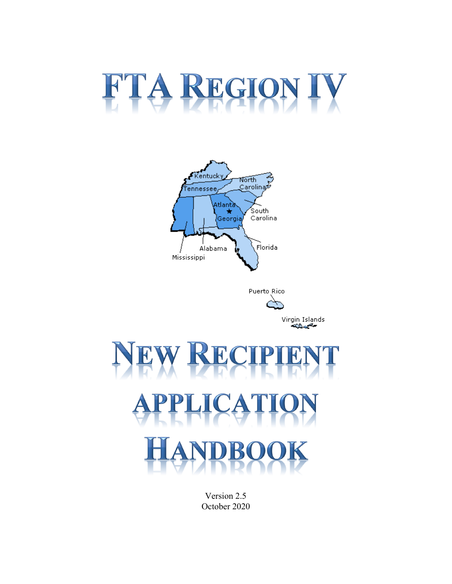# FTA REGION IV







Version 2.5 October 2020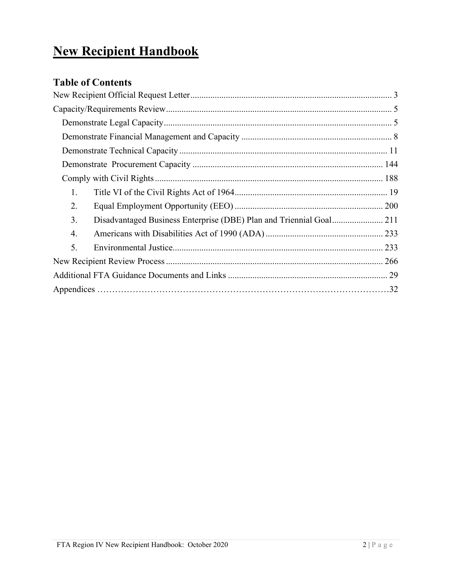# **New Recipient Handbook**

# **Table of Contents**

| 1. |  |
|----|--|
| 2. |  |
| 3. |  |
| 4. |  |
| 5. |  |
|    |  |
|    |  |
|    |  |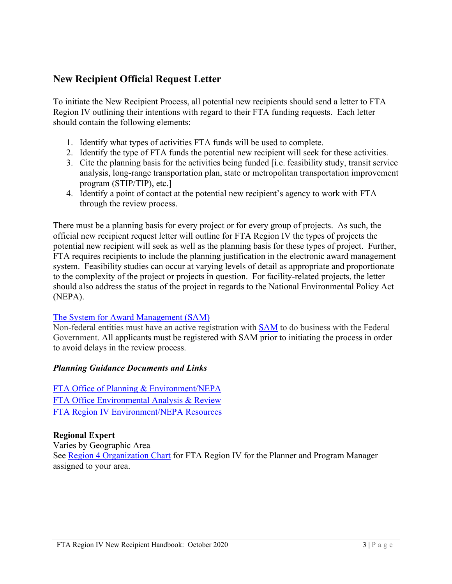### <span id="page-3-0"></span>**New Recipient Official Request Letter**

To initiate the New Recipient Process, all potential new recipients should send a letter to FTA Region IV outlining their intentions with regard to their FTA funding requests. Each letter should contain the following elements:

- 1. Identify what types of activities FTA funds will be used to complete.
- 2. Identify the type of FTA funds the potential new recipient will seek for these activities.
- 3. Cite the planning basis for the activities being funded [i.e. feasibility study, transit service program (STIP/TIP), etc.] analysis, long-range transportation plan, state or metropolitan transportation improvement
- 4. Identify a point of contact at the potential new recipient's agency to work with FTA through the review process.

 potential new recipient will seek as well as the planning basis for these types of project. Further, FTA requires recipients to include the planning justification in the electronic award management system. Feasibility studies can occur at varying levels of detail as appropriate and proportionate (NEPA). There must be a planning basis for every project or for every group of projects. As such, the official new recipient request letter will outline for FTA Region IV the types of projects the to the complexity of the project or projects in question. For facility-related projects, the letter should also address the status of the project in regards to the National Environmental Policy Act

# (NEPA).<br><u>The System for Award Management (SAM)</u>

Non-federal entities must have an active registration with [SAM](http://www.sam.gov/) to do business with the Federal Government. All applicants must be registered with SAM prior to initiating the process in order to avoid delays in the review process.

#### *Planning Guidance Documents and Links*

FTA Office Environmental Analysis & Review [FTA Office Environmental Analysis & Review](https://www.transit.dot.gov/regulations-and-guidance/environmental-programs/environmental-analysis-review) [FTA Region IV Environment/NEPA Resources](https://www.transit.dot.gov/about/regional-offices/region-4/environmentnepa-resources) [FTA Office of Planning & Environment/NEPA](https://www.transit.dot.gov/regulations-and-guidance/environmental-programs/environmental-programs) 

#### **Regional Expert**

Varies by Geographic Area See [Region 4 Organization Chart](https://www.transit.dot.gov/about/regional-offices/region-4/region-4-staff-organization) for FTA Region IV for the Planner and Program Manager assigned to your area.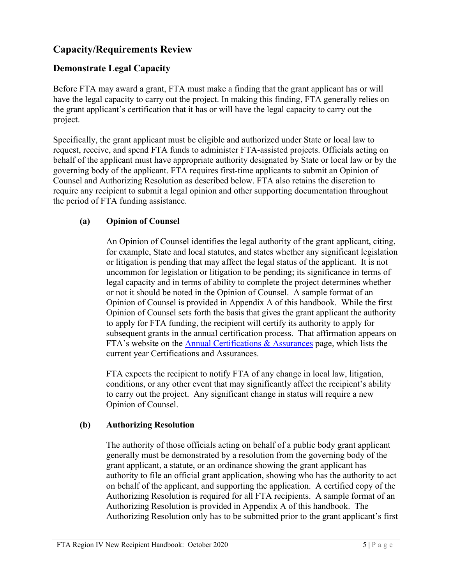# <span id="page-5-0"></span>**Capacity/Requirements Review**

#### <span id="page-5-1"></span>**Demonstrate Legal Capacity**

Before FTA may award a grant, FTA must make a finding that the grant applicant has or will have the legal capacity to carry out the project. In making this finding, FTA generally relies on the grant applicant's certification that it has or will have the legal capacity to carry out the project.

 the period of FTA funding assistance. Specifically, the grant applicant must be eligible and authorized under State or local law to request, receive, and spend FTA funds to administer FTA-assisted projects. Officials acting on behalf of the applicant must have appropriate authority designated by State or local law or by the governing body of the applicant. FTA requires first-time applicants to submit an Opinion of Counsel and Authorizing Resolution as described below. FTA also retains the discretion to require any recipient to submit a legal opinion and other supporting documentation throughout

#### **(a) Opinion of Counsel**

 An Opinion of Counsel identifies the legal authority of the grant applicant, citing, or litigation is pending that may affect the legal status of the applicant. It is not Opinion of Counsel is provided in Appendix A of this handbook. While the first current year Certifications and Assurances. for example, State and local statutes, and states whether any significant legislation uncommon for legislation or litigation to be pending; its significance in terms of legal capacity and in terms of ability to complete the project determines whether or not it should be noted in the Opinion of Counsel. A sample format of an Opinion of Counsel sets forth the basis that gives the grant applicant the authority to apply for FTA funding, the recipient will certify its authority to apply for subsequent grants in the annual certification process. That affirmation appears on FTA's website on the [Annual Certifications & Assurances](https://www.transit.dot.gov/funding/grantee-resources/certifications-and-assurances/certifications-assurances) page, which lists the

FTA expects the recipient to notify FTA of any change in local law, litigation, conditions, or any other event that may significantly affect the recipient's ability to carry out the project. Any significant change in status will require a new Opinion of Counsel.

#### **(b) Authorizing Resolution**

The authority of those officials acting on behalf of a public body grant applicant generally must be demonstrated by a resolution from the governing body of the grant applicant, a statute, or an ordinance showing the grant applicant has authority to file an official grant application, showing who has the authority to act on behalf of the applicant, and supporting the application. A certified copy of the Authorizing Resolution is required for all FTA recipients. A sample format of an Authorizing Resolution is provided in Appendix A of this handbook. The Authorizing Resolution only has to be submitted prior to the grant applicant's first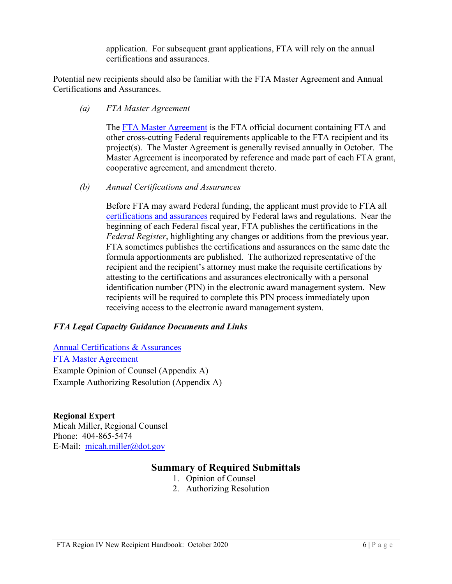certifications and assurances. application. For subsequent grant applications, FTA will rely on the annual

 certifications and assurances. Potential new recipients should also be familiar with the FTA Master Agreement and Annual Certifications and Assurances.

*(a) FTA Master Agreement* 

The **FTA Master Agreement** is the FTA official document containing FTA and project(s). The Master Agreement is generally revised annually in October. The other cross-cutting Federal requirements applicable to the FTA recipient and its Master Agreement is incorporated by reference and made part of each FTA grant, cooperative agreement, and amendment thereto.

*(b) Annual Certifications and Assurances* 

 formula apportionments are published. The authorized representative of the Before FTA may award Federal funding, the applicant must provide to FTA all [certifications and assurances](https://www.transit.dot.gov/funding/grantee-resources/certifications-and-assurances/certifications-assurances) required by Federal laws and regulations. Near the beginning of each Federal fiscal year, FTA publishes the certifications in the *Federal Register*, highlighting any changes or additions from the previous year. FTA sometimes publishes the certifications and assurances on the same date the recipient and the recipient's attorney must make the requisite certifications by attesting to the certifications and assurances electronically with a personal identification number (PIN) in the electronic award management system. New recipients will be required to complete this PIN process immediately upon receiving access to the electronic award management system.

#### *FTA Legal Capacity Guidance Documents and Links*

**FTA Master Agreement** [Annual Certifications & Assurances](https://www.transit.dot.gov/funding/grantee-resources/certifications-and-assurances/certifications-assurances)  Example Opinion of Counsel (Appendix A) Example Authorizing Resolution (Appendix A)

#### **Regional Expert**  Micah Miller, Regional Counsel

E-Mail: micah.miller@dot.gov Phone: 404-865-5474

# **Summary of Required Submittals**

- 1. Opinion of Counsel
- 2. Authorizing Resolution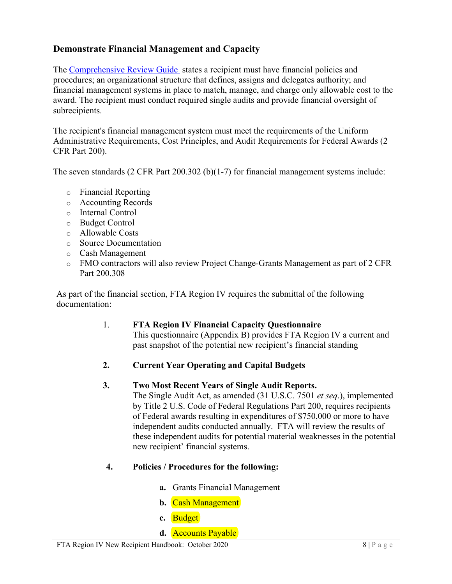#### <span id="page-8-0"></span>**Demonstrate Financial Management and Capacity**

subrecipients. The [Comprehensive Review Guide](https://www.transit.dot.gov/funding/grantee-resources/triennial-reviews/triennial-reviews) states a recipient must have financial policies and procedures; an organizational structure that defines, assigns and delegates authority; and financial management systems in place to match, manage, and charge only allowable cost to the award. The recipient must conduct required single audits and provide financial oversight of

The recipient's financial management system must meet the requirements of the Uniform Administrative Requirements, Cost Principles, and Audit Requirements for Federal Awards (2 CFR Part 200).

The seven standards (2 CFR Part 200.302 (b)(1-7) for financial management systems include:

- o Financial Reporting
- o Accounting Records
- o Internal Control
- o Budget Control
- o Allowable Costs
- o Source Documentation
- o Cash Management
- o FMO contractors will also review Project Change-Grants Management as part of 2 CFR Part 200.308

documentation: As part of the financial section, FTA Region IV requires the submittal of the following

#### 1. **FTA Region IV Financial Capacity Questionnaire**

This questionnaire (Appendix B) provides FTA Region IV a current and past snapshot of the potential new recipient's financial standing

#### **2. Current Year Operating and Capital Budgets**

#### **3. Two Most Recent Years of Single Audit Reports.**

 independent audits conducted annually. FTA will review the results of The Single Audit Act, as amended (31 U.S.C. 7501 *et seq*.), implemented by Title 2 U.S. Code of Federal Regulations Part 200, requires recipients of Federal awards resulting in expenditures of \$750,000 or more to have these independent audits for potential material weaknesses in the potential new recipient' financial systems.

#### **4. Policies / Procedures for the following:**

- **a.** Grants Financial Management
- **b.** Cash Management
- **c.** Budget
- **d.** Accounts Payable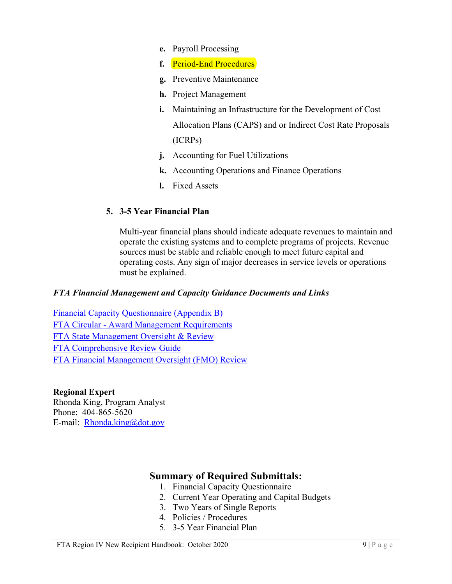- **e.** Payroll Processing
- **f.** Period-End Procedures
- **g.** Preventive Maintenance
- **h.** Project Management
- **i.** Maintaining an Infrastructure for the Development of Cost Allocation Plans (CAPS) and or Indirect Cost Rate Proposals (ICRPs)
- **j.** Accounting for Fuel Utilizations
- **k.** Accounting Operations and Finance Operations
- **l.** Fixed Assets

#### **5. 3-5 Year Financial Plan**

 must be explained. Multi-year financial plans should indicate adequate revenues to maintain and operate the existing systems and to complete programs of projects. Revenue sources must be stable and reliable enough to meet future capital and operating costs. Any sign of major decreases in service levels or operations

#### *FTA Financial Management and Capacity Guidance Documents and Links*

 FTA Circular - [Award Management Requirements](https://www.transit.dot.gov/regulations-and-guidance/fta-circulars/award-management-requirements-circular-50101e)  **FTA Comprehensive Review Guide** [Financial Capacity Questionnaire \(Appendix B\)](https://www.transit.dot.gov/about/regional-offices/region-4/appendix-b-1-financial-capacity-questionnaire)  [FTA State Management Oversight & Review](https://www.transit.dot.gov/regulations-and-guidance/safety/state-management-oversight)  FTA Financial Management Oversight (FMO) Review

#### **Regional Expert**

 Rhonda King, Program Analyst E-mail: **Rhonda.king@dot.gov** Phone: 404-865-5620

#### **Summary of Required Submittals:**

- 1. Financial Capacity Questionnaire
- 2. Current Year Operating and Capital Budgets
- 3. Two Years of Single Reports
- 4. Policies / Procedures
- 5. 3-5 Year Financial Plan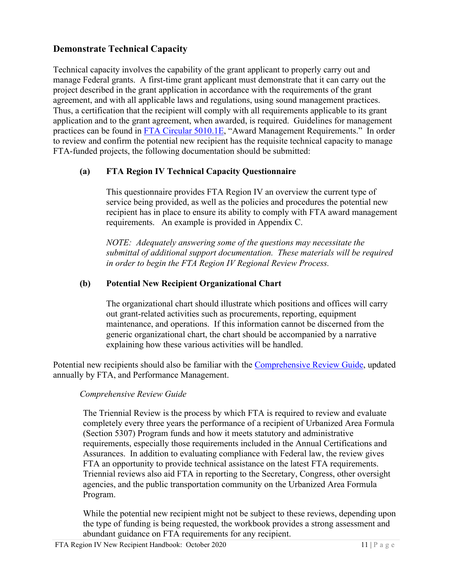#### <span id="page-11-0"></span>**Demonstrate Technical Capacity**

 Technical capacity involves the capability of the grant applicant to properly carry out and manage Federal grants. A first-time grant applicant must demonstrate that it can carry out the project described in the grant application in accordance with the requirements of the grant agreement, and with all applicable laws and regulations, using sound management practices. Thus, a certification that the recipient will comply with all requirements applicable to its grant application and to the grant agreement, when awarded, is required. Guidelines for management practices can be found in [FTA Circular 5010.1E](https://www.transit.dot.gov/regulations-and-guidance/fta-circulars/grant-management-requirements), "Award Management Requirements." In order to review and confirm the potential new recipient has the requisite technical capacity to manage FTA-funded projects, the following documentation should be submitted:

#### **(a) FTA Region IV Technical Capacity Questionnaire**

 This questionnaire provides FTA Region IV an overview the current type of service being provided, as well as the policies and procedures the potential new recipient has in place to ensure its ability to comply with FTA award management requirements. An example is provided in Appendix C.

 *NOTE: Adequately answering some of the questions may necessitate the submittal of additional support documentation. These materials will be required in order to begin the FTA Region IV Regional Review Process.* 

#### **(b) Potential New Recipient Organizational Chart**

 maintenance, and operations. If this information cannot be discerned from the The organizational chart should illustrate which positions and offices will carry out grant-related activities such as procurements, reporting, equipment generic organizational chart, the chart should be accompanied by a narrative explaining how these various activities will be handled.

Potential new recipients should also be familiar with the [Comprehensive Review Guide,](https://www.transit.dot.gov/funding/grantee-resources/triennial-reviews/triennial-reviews) updated annually by FTA, and Performance Management.

#### *Comprehensive Review Guide*

 FTA an opportunity to provide technical assistance on the latest FTA requirements. The Triennial Review is the process by which FTA is required to review and evaluate completely every three years the performance of a recipient of Urbanized Area Formula (Section 5307) Program funds and how it meets statutory and administrative requirements, especially those requirements included in the Annual Certifications and Assurances. In addition to evaluating compliance with Federal law, the review gives Triennial reviews also aid FTA in reporting to the Secretary, Congress, other oversight agencies, and the public transportation community on the Urbanized Area Formula Program.

While the potential new recipient might not be subject to these reviews, depending upon the type of funding is being requested, the workbook provides a strong assessment and abundant guidance on FTA requirements for any recipient.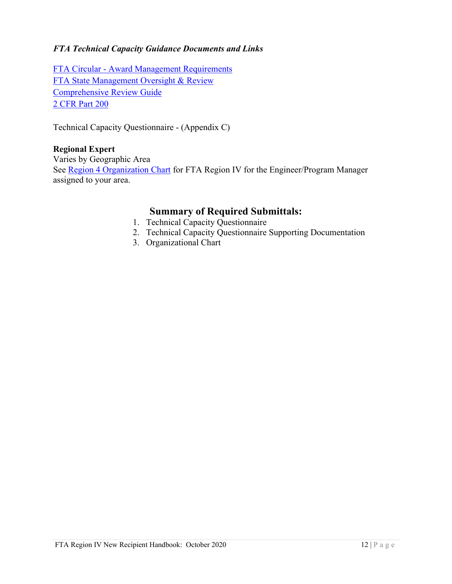#### *FTA Technical Capacity Guidance Documents and Links*

 FTA Circular - [Award Management Requirements](https://www.transit.dot.gov/regulations-and-guidance/fta-circulars/grant-management-requirements)  [FTA State Management Oversight & Review](https://www.transit.dot.gov/regulations-and-guidance/safety/state-management-oversight)  [Comprehensive Review Guide](https://www.transit.dot.gov/funding/grantee-resources/triennial-reviews/triennial-reviews)  [2 CFR Part 200](http://www.ecfr.gov/cgi-bin/text-idx?tpl=/ecfrbrowse/Title02/2cfr200_main_02.tpl) 

Technical Capacity Questionnaire - (Appendix C)

#### **Regional Expert**

Varies by Geographic Area See [Region 4 Organization Chart](https://www.transit.dot.gov/about/regional-offices/region-4/region-4-staff-organization) for FTA Region IV for the Engineer/Program Manager assigned to your area.

#### **Summary of Required Submittals:**

- 1. Technical Capacity Questionnaire
- 2. Technical Capacity Questionnaire Supporting Documentation
- 3. Organizational Chart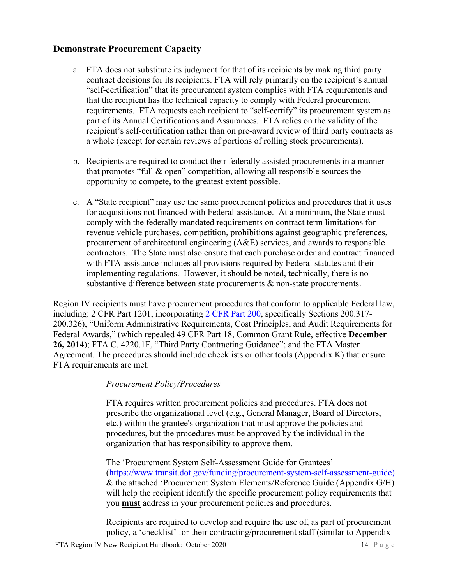#### <span id="page-14-0"></span>**Demonstrate Procurement Capacity**

- a. FTA does not substitute its judgment for that of its recipients by making third party part of its Annual Certifications and Assurances. FTA relies on the validity of the contract decisions for its recipients. FTA will rely primarily on the recipient's annual "self-certification" that its procurement system complies with FTA requirements and that the recipient has the technical capacity to comply with Federal procurement requirements. FTA requests each recipient to "self-certify" its procurement system as recipient's self-certification rather than on pre-award review of third party contracts as a whole (except for certain reviews of portions of rolling stock procurements).
- that promotes "full & open" competition, allowing all responsible sources the opportunity to compete, to the greatest extent possible. b. Recipients are required to conduct their federally assisted procurements in a manner
- opportunity to compete, to the greatest extent possible.<br>c. A "State recipient" may use the same procurement policies and procedures that it uses for acquisitions not financed with Federal assistance. At a minimum, the State must revenue vehicle purchases, competition, prohibitions against geographic preferences, procurement of architectural engineering (A&E) services, and awards to responsible contractors. The State must also ensure that each purchase order and contract financed implementing regulations. However, it should be noted, technically, there is no comply with the federally mandated requirements on contract term limitations for with FTA assistance includes all provisions required by Federal statutes and their substantive difference between state procurements & non-state procurements.

 Region IV recipients must have procurement procedures that conform to applicable Federal law, **26, 2014**); FTA C. 4220.1F, "Third Party Contracting Guidance"; and the FTA Master including: 2 CFR Part 1201, incorporating [2 CFR Part 200,](http://www.ecfr.gov/cgi-bin/text-idx?tpl=/ecfrbrowse/Title02/2cfr200_main_02.tpl) specifically Sections 200.317- 200.326), "Uniform Administrative Requirements, Cost Principles, and Audit Requirements for Federal Awards," (which repealed 49 CFR Part 18, Common Grant Rule, effective **December**  Agreement. The procedures should include checklists or other tools (Appendix K) that ensure FTA requirements are met.

#### *Procurement Policy/Procedures*

 procedures, but the procedures must be approved by the individual in the FTA requires written procurement policies and procedures. FTA does not prescribe the organizational level (e.g., General Manager, Board of Directors, etc.) within the grantee's organization that must approve the policies and organization that has responsibility to approve them.

The 'Procurement System Self-Assessment Guide for Grantees' [\(https://www.transit.dot.gov/funding/procurement-system-self-assessment-guide\)](https://www.transit.dot.gov/funding/procurement-system-self-assessment-guide) & the attached 'Procurement System Elements/Reference Guide (Appendix G/H) will help the recipient identify the specific procurement policy requirements that you **must** address in your procurement policies and procedures.

 policy, a 'checklist' for their contracting/procurement staff (similar to Appendix Recipients are required to develop and require the use of, as part of procurement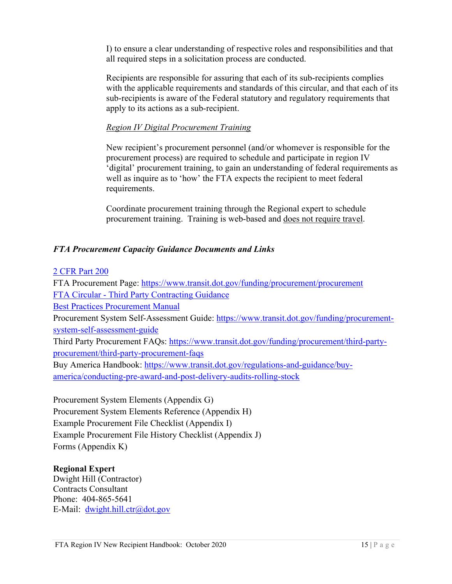I) to ensure a clear understanding of respective roles and responsibilities and that all required steps in a solicitation process are conducted.

 Recipients are responsible for assuring that each of its sub-recipients complies with the applicable requirements and standards of this circular, and that each of its sub-recipients is aware of the Federal statutory and regulatory requirements that apply to its actions as a sub-recipient.

#### *Region IV Digital Procurement Training*

 'digital' procurement training, to gain an understanding of federal requirements as well as inquire as to 'how' the FTA expects the recipient to meet federal New recipient's procurement personnel (and/or whomever is responsible for the procurement process) are required to schedule and participate in region IV requirements.

procurement training. Training is web-based and does not require travel. Coordinate procurement training through the Regional expert to schedule

#### *FTA Procurement Capacity Guidance Documents and Links*

#### [2 CFR Part 200](http://www.ecfr.gov/cgi-bin/text-idx?tpl=/ecfrbrowse/Title02/2cfr200_main_02.tpl)

system-self-assessment-guide FTA Procurement Page: https://www.transit.dot.gov/funding/procurement/procurement [FTA Circular - Third Party Contracting Guidance](https://www.transit.dot.gov/regulations-and-guidance/fta-circulars/third-party-contracting-guidance)  [Best Practices Procurement Manual](https://www.transit.dot.gov/funding/procurement/best-practices-procurement-manual)  Procurement System Self-Assessment Guide: [https://www.transit.dot.gov/funding/procurement](https://www.transit.dot.gov/funding/procurement-system-self-assessment-guide)Third Party Procurement FAQs: [https://www.transit.dot.gov/funding/procurement/third-party](https://www.transit.dot.gov/funding/procurement/third-party-procurement/third-party-procurement-faqs)[procurement/third-party-procurement-faqs](https://www.transit.dot.gov/funding/procurement/third-party-procurement/third-party-procurement-faqs)  Buy America Handbook: [https://www.transit.dot.gov/regulations-and-guidance/buy](https://www.transit.dot.gov/regulations-and-guidance/buy-america/conducting-pre-award-and-post-delivery-audits-rolling-stock)[america/conducting-pre-award-and-post-delivery-audits-rolling-stock](https://www.transit.dot.gov/regulations-and-guidance/buy-america/conducting-pre-award-and-post-delivery-audits-rolling-stock) 

Procurement System Elements (Appendix G) Procurement System Elements Reference (Appendix H) Example Procurement File Checklist (Appendix I) Example Procurement File History Checklist (Appendix J) Forms (Appendix K)

#### **Regional Expert**

E-Mail: dwight.hill.ctr@dot.gov Dwight Hill (Contractor) Contracts Consultant Phone: 404-865-5641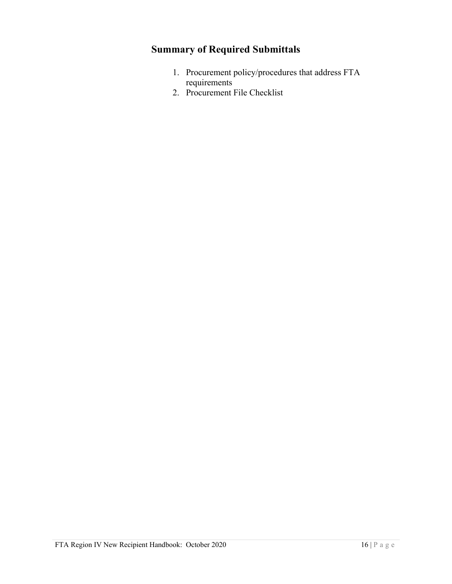# **Summary of Required Submittals**

- 1. Procurement policy/procedures that address FTA requirements
- 2. Procurement File Checklist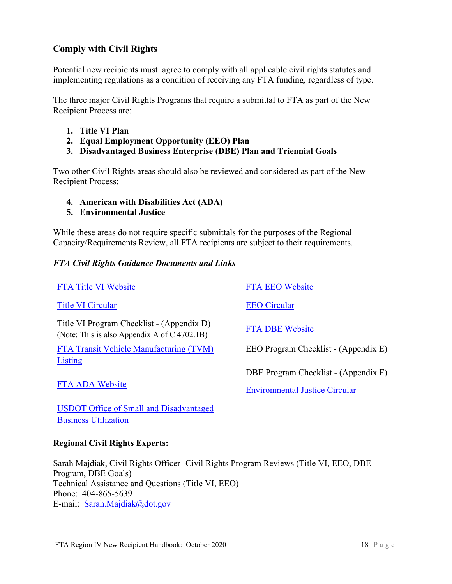#### <span id="page-18-0"></span>**Comply with Civil Rights**

Potential new recipients must agree to comply with all applicable civil rights statutes and implementing regulations as a condition of receiving any FTA funding, regardless of type.

 Recipient Process are: The three major Civil Rights Programs that require a submittal to FTA as part of the New

- **1. Title VI Plan**
- **2. Equal Employment Opportunity (EEO) Plan**
- **3. Disadvantaged Business Enterprise (DBE) Plan and Triennial Goals**

 Recipient Process: Two other Civil Rights areas should also be reviewed and considered as part of the New

- **4. American with Disabilities Act (ADA)**
- **5. Environmental Justice**

 Capacity/Requirements Review, all FTA recipients are subject to their requirements. While these areas do not require specific submittals for the purposes of the Regional

#### *FTA Civil Rights Guidance Documents and Links*

| <b>FTA Title VI Website</b>                                                               | <b>FTA EEO Website</b>                |
|-------------------------------------------------------------------------------------------|---------------------------------------|
| <b>Title VI Circular</b>                                                                  | <b>EEO Circular</b>                   |
| Title VI Program Checklist - (Appendix D)<br>(Note: This is also Appendix A of C 4702.1B) | <b>FTA DBE Website</b>                |
| FTA Transit Vehicle Manufacturing (TVM)                                                   | EEO Program Checklist - (Appendix E)  |
| Listing                                                                                   |                                       |
|                                                                                           | DBE Program Checklist - (Appendix F)  |
| <b>FTA ADA Website</b>                                                                    | <b>Environmental Justice Circular</b> |
| <b>USDOT Office of Small and Disadvantaged</b>                                            |                                       |

**Regional Civil Rights Experts:** 

[Business Utilization](https://www.transportation.gov/osdbu/) 

 Sarah Majdiak, Civil Rights Officer- Civil Rights Program Reviews (Title VI, EEO, DBE E-mail: Sarah.Majdiak@dot.gov Program, DBE Goals) Technical Assistance and Questions (Title VI, EEO) Phone: 404-865-5639 E-mail: Sarah.Majdiak@dot.gov<br>FTA Region IV New Recipient Handbook: October 2020 18 | P a g e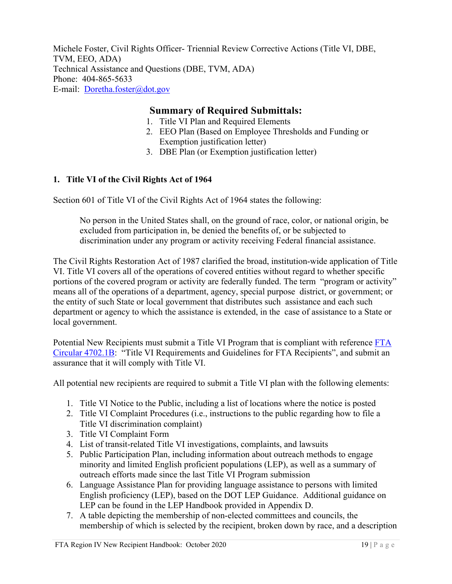E-mail: Doretha.foster@dot.gov Michele Foster, Civil Rights Officer- Triennial Review Corrective Actions (Title VI, DBE, TVM, EEO, ADA) Technical Assistance and Questions (DBE, TVM, ADA) Phone: 404-865-5633

#### **Summary of Required Submittals:**

- 1. Title VI Plan and Required Elements
- 2. EEO Plan (Based on Employee Thresholds and Funding or Exemption justification letter)
- 3. DBE Plan (or Exemption justification letter)

#### <span id="page-19-0"></span>**1. Title VI of the Civil Rights Act of 1964**

Section 601 of Title VI of the Civil Rights Act of 1964 states the following:

 discrimination under any program or activity receiving Federal financial assistance. No person in the United States shall, on the ground of race, color, or national origin, be excluded from participation in, be denied the benefits of, or be subjected to

 department or agency to which the assistance is extended, in the case of assistance to a State or The Civil Rights Restoration Act of 1987 clarified the broad, institution-wide application of Title VI. Title VI covers all of the operations of covered entities without regard to whether specific portions of the covered program or activity are federally funded. The term "program or activity" means all of the operations of a department, agency, special purpose district, or government; or the entity of such State or local government that distributes such assistance and each such local government.

Potential New Recipients must submit a Title VI Program that is compliant with reference [FTA](https://www.transit.dot.gov/regulations-and-guidance/fta-circulars/title-vi-requirements-and-guidelines-federal-transit)  [Circular 4702.1B:](https://www.transit.dot.gov/regulations-and-guidance/fta-circulars/title-vi-requirements-and-guidelines-federal-transit) "Title VI Requirements and Guidelines for FTA Recipients", and submit an assurance that it will comply with Title VI.

All potential new recipients are required to submit a Title VI plan with the following elements:

- 1. Title VI Notice to the Public, including a list of locations where the notice is posted
- 2. Title VI Complaint Procedures (i.e., instructions to the public regarding how to file a Title VI discrimination complaint)
- 3. Title VI Complaint Form
- 4. List of transit-related Title VI investigations, complaints, and lawsuits
- 5. Public Participation Plan, including information about outreach methods to engage minority and limited English proficient populations (LEP), as well as a summary of outreach efforts made since the last Title VI Program submission
- 6. Language Assistance Plan for providing language assistance to persons with limited English proficiency (LEP), based on the DOT LEP Guidance. Additional guidance on LEP can be found in the LEP Handbook provided in Appendix D.
- 7. A table depicting the membership of non-elected committees and councils, the membership of which is selected by the recipient, broken down by race, and a description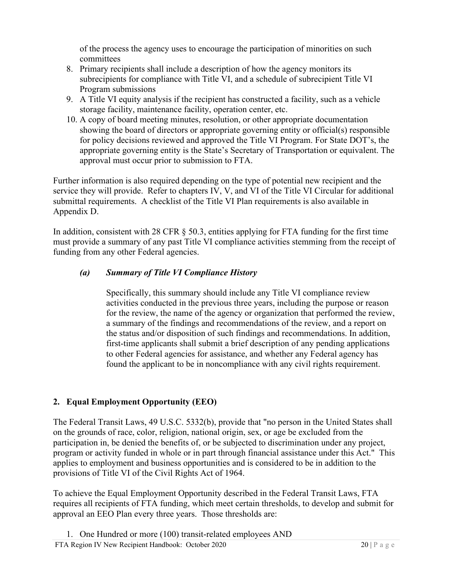of the process the agency uses to encourage the participation of minorities on such committees

- 8. Primary recipients shall include a description of how the agency monitors its subrecipients for compliance with Title VI, and a schedule of subrecipient Title VI Program submissions
- 9. A Title VI equity analysis if the recipient has constructed a facility, such as a vehicle storage facility, maintenance facility, operation center, etc.
- 10. A copy of board meeting minutes, resolution, or other appropriate documentation showing the board of directors or appropriate governing entity or official(s) responsible for policy decisions reviewed and approved the Title VI Program. For State DOT's, the appropriate governing entity is the State's Secretary of Transportation or equivalent. The approval must occur prior to submission to FTA.

 Further information is also required depending on the type of potential new recipient and the service they will provide. Refer to chapters IV, V, and VI of the Title VI Circular for additional submittal requirements. A checklist of the Title VI Plan requirements is also available in Appendix D.

 In addition, consistent with 28 CFR § 50.3, entities applying for FTA funding for the first time funding from any other Federal agencies. must provide a summary of any past Title VI compliance activities stemming from the receipt of

#### *(a) Summary of Title VI Compliance History*

 to other Federal agencies for assistance, and whether any Federal agency has Specifically, this summary should include any Title VI compliance review activities conducted in the previous three years, including the purpose or reason for the review, the name of the agency or organization that performed the review, a summary of the findings and recommendations of the review, and a report on the status and/or disposition of such findings and recommendations. In addition, first-time applicants shall submit a brief description of any pending applications found the applicant to be in noncompliance with any civil rights requirement.

#### <span id="page-20-0"></span>**2. Equal Employment Opportunity (EEO)**

 on the grounds of race, color, religion, national origin, sex, or age be excluded from the program or activity funded in whole or in part through financial assistance under this Act." This The Federal Transit Laws, 49 U.S.C. 5332(b), provide that "no person in the United States shall participation in, be denied the benefits of, or be subjected to discrimination under any project, applies to employment and business opportunities and is considered to be in addition to the provisions of Title VI of the Civil Rights Act of 1964.

 requires all recipients of FTA funding, which meet certain thresholds, to develop and submit for approval an EEO Plan every three years. Those thresholds are: To achieve the Equal Employment Opportunity described in the Federal Transit Laws, FTA

FTA Region IV New Recipient Handbook: October 2020 20 | P a g e 20 | P a g e 1. One Hundred or more (100) transit-related employees AND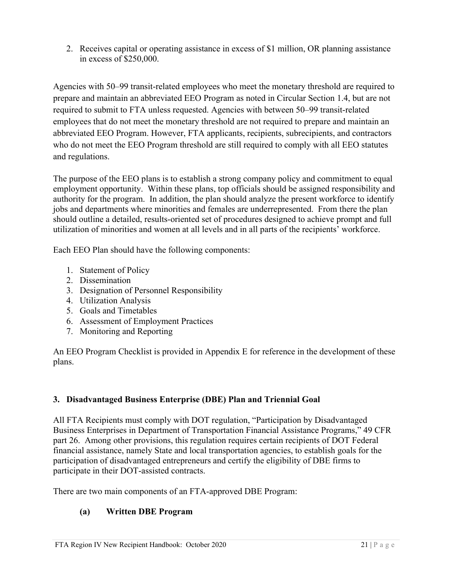2. Receives capital or operating assistance in excess of \$1 million, OR planning assistance in excess of \$250,000.

Agencies with 50–99 transit-related employees who meet the monetary threshold are required to prepare and maintain an abbreviated EEO Program as noted in Circular Section 1.4, but are not required to submit to FTA unless requested. Agencies with between 50–99 transit-related employees that do not meet the monetary threshold are not required to prepare and maintain an abbreviated EEO Program. However, FTA applicants, recipients, subrecipients, and contractors who do not meet the EEO Program threshold are still required to comply with all EEO statutes and regulations.

 jobs and departments where minorities and females are underrepresented. From there the plan The purpose of the EEO plans is to establish a strong company policy and commitment to equal employment opportunity. Within these plans, top officials should be assigned responsibility and authority for the program. In addition, the plan should analyze the present workforce to identify should outline a detailed, results-oriented set of procedures designed to achieve prompt and full utilization of minorities and women at all levels and in all parts of the recipients' workforce.

Each EEO Plan should have the following components:

- 1. Statement of Policy
- 2. Dissemination
- 3. Designation of Personnel Responsibility
- 4. Utilization Analysis
- 5. Goals and Timetables
- 6. Assessment of Employment Practices
- 7. Monitoring and Reporting

An EEO Program Checklist is provided in Appendix E for reference in the development of these plans.

#### <span id="page-21-0"></span> **3. Disadvantaged Business Enterprise (DBE) Plan and Triennial Goal**

 Business Enterprises in Department of Transportation Financial Assistance Programs," 49 CFR participation of disadvantaged entrepreneurs and certify the eligibility of DBE firms to participate in their DOT-assisted contracts. All FTA Recipients must comply with DOT regulation, "Participation by Disadvantaged part 26. Among other provisions, this regulation requires certain recipients of DOT Federal financial assistance, namely State and local transportation agencies, to establish goals for the

participate in their DOT-assisted contracts.<br>There are two main components of an FTA-approved DBE Program:

#### **(a) Written DBE Program**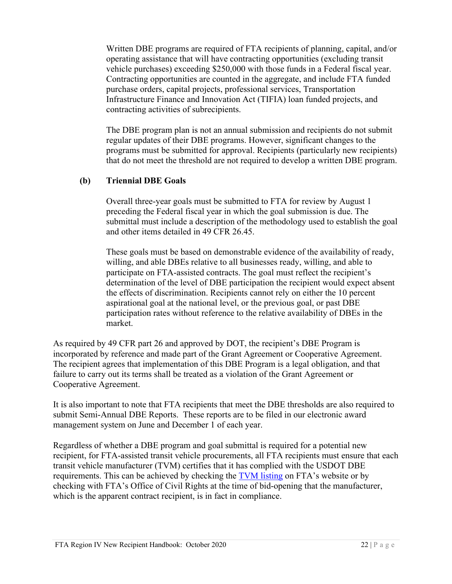vehicle purchases) exceeding \$250,000 with those funds in a Federal fiscal year. Written DBE programs are required of FTA recipients of planning, capital, and/or operating assistance that will have contracting opportunities (excluding transit Contracting opportunities are counted in the aggregate, and include FTA funded purchase orders, capital projects, professional services, Transportation Infrastructure Finance and Innovation Act (TIFIA) loan funded projects, and contracting activities of subrecipients.

 The DBE program plan is not an annual submission and recipients do not submit regular updates of their DBE programs. However, significant changes to the programs must be submitted for approval. Recipients (particularly new recipients) that do not meet the threshold are not required to develop a written DBE program.

#### **(b) Triennial DBE Goals**

Overall three-year goals must be submitted to FTA for review by August 1 preceding the Federal fiscal year in which the goal submission is due. The submittal must include a description of the methodology used to establish the goal and other items detailed in 49 CFR 26.45.

 These goals must be based on demonstrable evidence of the availability of ready, aspirational goal at the national level, or the previous goal, or past DBE willing, and able DBEs relative to all businesses ready, willing, and able to participate on FTA-assisted contracts. The goal must reflect the recipient's determination of the level of DBE participation the recipient would expect absent the effects of discrimination. Recipients cannot rely on either the 10 percent participation rates without reference to the relative availability of DBEs in the market.

 incorporated by reference and made part of the Grant Agreement or Cooperative Agreement. As required by 49 CFR part 26 and approved by DOT, the recipient's DBE Program is The recipient agrees that implementation of this DBE Program is a legal obligation, and that failure to carry out its terms shall be treated as a violation of the Grant Agreement or Cooperative Agreement.

 It is also important to note that FTA recipients that meet the DBE thresholds are also required to submit Semi-Annual DBE Reports. These reports are to be filed in our electronic award management system on June and December 1 of each year.

management system on June and December 1 of each year.<br>Regardless of whether a DBE program and goal submittal is required for a potential new transit vehicle manufacturer (TVM) certifies that it has complied with the USDOT DBE which is the apparent contract recipient, is in fact in compliance. recipient, for FTA-assisted transit vehicle procurements, all FTA recipients must ensure that each requirements. This can be achieved by checking the [TVM listing](https://www.transit.dot.gov/regulations-and-guidance/civil-rights-ada/transit-vehicle-manufacturers-tvms) on FTA's website or by checking with FTA's Office of Civil Rights at the time of bid-opening that the manufacturer, which is the apparent contract recipient, is in fact in compliance.<br>FTA Region IV New Recipient Handbook: October 2020 22 | P a g e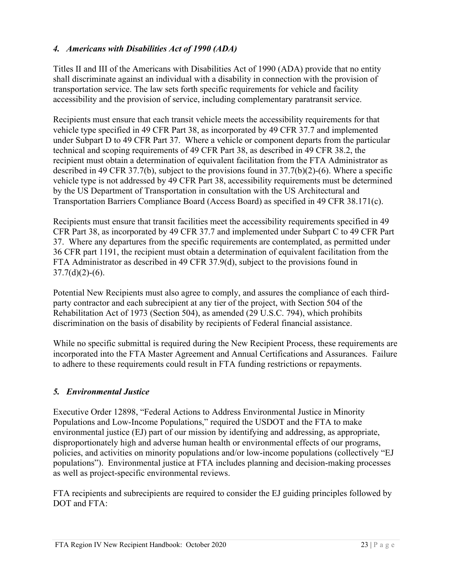#### <span id="page-23-0"></span>*4. Americans with Disabilities Act of 1990 (ADA)*

Titles II and III of the Americans with Disabilities Act of 1990 (ADA) provide that no entity shall discriminate against an individual with a disability in connection with the provision of transportation service. The law sets forth specific requirements for vehicle and facility accessibility and the provision of service, including complementary paratransit service.

 Recipients must ensure that each transit vehicle meets the accessibility requirements for that Transportation Barriers Compliance Board (Access Board) as specified in 49 CFR 38.171(c). vehicle type specified in 49 CFR Part 38, as incorporated by 49 CFR 37.7 and implemented under Subpart D to 49 CFR Part 37. Where a vehicle or component departs from the particular technical and scoping requirements of 49 CFR Part 38, as described in 49 CFR 38.2, the recipient must obtain a determination of equivalent facilitation from the FTA Administrator as described in 49 CFR 37.7(b), subject to the provisions found in 37.7(b)(2)-(6). Where a specific vehicle type is not addressed by 49 CFR Part 38, accessibility requirements must be determined by the US Department of Transportation in consultation with the US Architectural and

Recipients must ensure that transit facilities meet the accessibility requirements specified in 49 CFR Part 38, as incorporated by 49 CFR 37.7 and implemented under Subpart C to 49 CFR Part 37. Where any departures from the specific requirements are contemplated, as permitted under 36 CFR part 1191, the recipient must obtain a determination of equivalent facilitation from the FTA Administrator as described in 49 CFR 37.9(d), subject to the provisions found in  $37.7(d)(2)-(6)$ .

Potential New Recipients must also agree to comply, and assures the compliance of each thirdparty contractor and each subrecipient at any tier of the project, with Section 504 of the Rehabilitation Act of 1973 (Section 504), as amended (29 U.S.C. 794), which prohibits discrimination on the basis of disability by recipients of Federal financial assistance.

 While no specific submittal is required during the New Recipient Process, these requirements are incorporated into the FTA Master Agreement and Annual Certifications and Assurances. Failure to adhere to these requirements could result in FTA funding restrictions or repayments.

#### <span id="page-23-1"></span>*5. Environmental Justice*

 populations"). Environmental justice at FTA includes planning and decision-making processes as well as project-specific environmental reviews. Executive Order 12898, "Federal Actions to Address Environmental Justice in Minority Populations and Low-Income Populations," required the USDOT and the FTA to make environmental justice (EJ) part of our mission by identifying and addressing, as appropriate, disproportionately high and adverse human health or environmental effects of our programs, policies, and activities on minority populations and/or low-income populations (collectively "EJ

 FTA recipients and subrecipients are required to consider the EJ guiding principles followed by DOT and FTA: DOT and FTA:<br>
FTA Region IV New Recipient Handbook: October 2020 23 | P a g e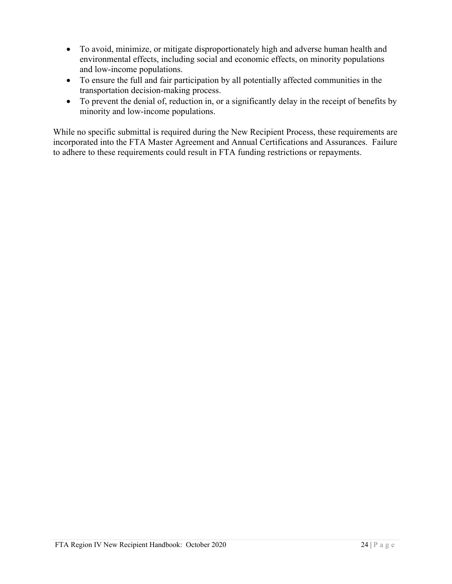- To avoid, minimize, or mitigate disproportionately high and adverse human health and environmental effects, including social and economic effects, on minority populations and low-income populations.
- • To ensure the full and fair participation by all potentially affected communities in the transportation decision-making process.
- To prevent the denial of, reduction in, or a significantly delay in the receipt of benefits by minority and low-income populations.

 While no specific submittal is required during the New Recipient Process, these requirements are incorporated into the FTA Master Agreement and Annual Certifications and Assurances. Failure to adhere to these requirements could result in FTA funding restrictions or repayments.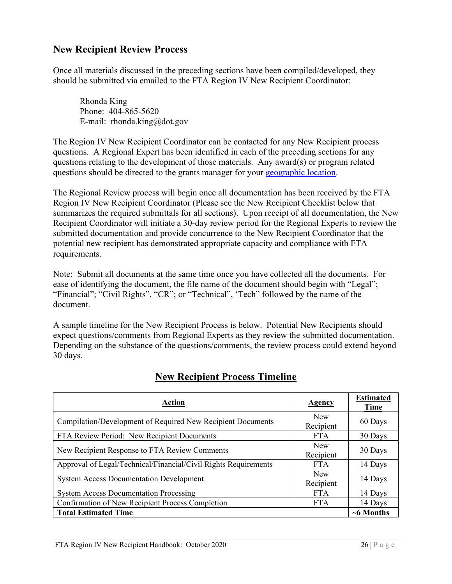#### <span id="page-26-0"></span>**New Recipient Review Process**

 should be submitted via emailed to the FTA Region IV New Recipient Coordinator: Once all materials discussed in the preceding sections have been compiled/developed, they

Rhonda King Phone: 404-865-5620 E-mail: [rhonda.king@dot.gov](mailto:rhonda.king@dot.gov) 

The Region IV New Recipient Coordinator can be contacted for any New Recipient process questions. A Regional Expert has been identified in each of the preceding sections for any questions relating to the development of those materials. Any award(s) or program related questions should be directed to the grants manager for your [geographic location.](https://www.transit.dot.gov/about/regional-offices/region-4/region-iv-geographic-assignments)

 summarizes the required submittals for all sections). Upon receipt of all documentation, the New submitted documentation and provide concurrence to the New Recipient Coordinator that the potential new recipient has demonstrated appropriate capacity and compliance with FTA requirements. The Regional Review process will begin once all documentation has been received by the FTA Region IV New Recipient Coordinator (Please see the New Recipient Checklist below that Recipient Coordinator will initiate a 30-day review period for the Regional Experts to review the

requirements.<br>Note: Submit all documents at the same time once you have collected all the documents. For ease of identifying the document, the file name of the document should begin with "Legal"; "Financial"; "Civil Rights", "CR"; or "Technical", 'Tech" followed by the name of the document.

 Depending on the substance of the questions/comments, the review process could extend beyond A sample timeline for the New Recipient Process is below. Potential New Recipients should expect questions/comments from Regional Experts as they review the submitted documentation. 30 days.

| <b>Action</b>                                                   | <b>Agency</b>           | <b>Estimated</b><br>Time |
|-----------------------------------------------------------------|-------------------------|--------------------------|
| Compilation/Development of Required New Recipient Documents     | <b>New</b><br>Recipient | 60 Days                  |
| FTA Review Period: New Recipient Documents                      | <b>FTA</b>              | 30 Days                  |
| New Recipient Response to FTA Review Comments                   | New<br>Recipient        | 30 Days                  |
| Approval of Legal/Technical/Financial/Civil Rights Requirements | <b>FTA</b>              | 14 Days                  |
| <b>System Access Documentation Development</b>                  |                         | 14 Days                  |
| <b>System Access Documentation Processing</b>                   | <b>FTA</b>              | 14 Days                  |
| Confirmation of New Recipient Process Completion                |                         | 14 Days                  |
| <b>Total Estimated Time</b>                                     |                         | $~6$ Months              |

# **New Recipient Process Timeline**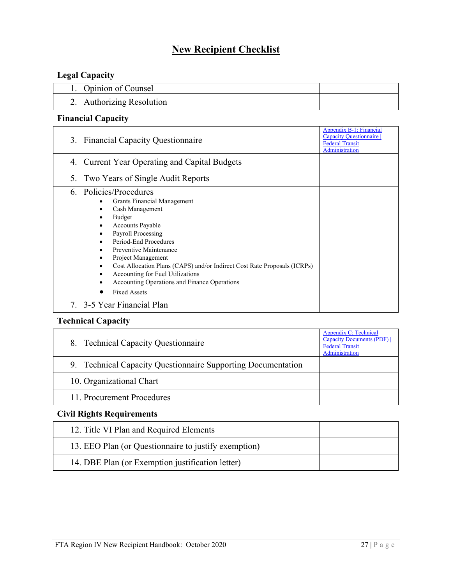# **New Recipient Checklist**

# **Legal Capacity**

| 1. Opinion of Counsel     |  |
|---------------------------|--|
| 2. Authorizing Resolution |  |

#### **Financial Capacity**

| Appendix B-1: Financial<br>Capacity Questionnaire<br>3. Financial Capacity Questionnaire<br><b>Federal Transit</b><br><b>Administration</b>                                                                                                                                                                                                                                                              |  |  |
|----------------------------------------------------------------------------------------------------------------------------------------------------------------------------------------------------------------------------------------------------------------------------------------------------------------------------------------------------------------------------------------------------------|--|--|
| <b>Current Year Operating and Capital Budgets</b><br>4.                                                                                                                                                                                                                                                                                                                                                  |  |  |
| Two Years of Single Audit Reports<br>5.                                                                                                                                                                                                                                                                                                                                                                  |  |  |
| 6. Policies/Procedures<br>Grants Financial Management<br>٠<br>Cash Management<br>Budget<br><b>Accounts Payable</b><br>Payroll Processing<br>Period-End Procedures<br>Preventive Maintenance<br>Project Management<br>Cost Allocation Plans (CAPS) and/or Indirect Cost Rate Proposals (ICRPs)<br>Accounting for Fuel Utilizations<br>Accounting Operations and Finance Operations<br><b>Fixed Assets</b> |  |  |
| 7. 3-5 Year Financial Plan                                                                                                                                                                                                                                                                                                                                                                               |  |  |

#### **Technical Capacity**

| 8. Technical Capacity Questionnaire                          | <b>Appendix C: Technical</b><br>Capacity Documents (PDF)  <br><b>Federal Transit</b><br>Administration |
|--------------------------------------------------------------|--------------------------------------------------------------------------------------------------------|
| 9. Technical Capacity Questionnaire Supporting Documentation |                                                                                                        |
| 10. Organizational Chart                                     |                                                                                                        |
| 11. Procurement Procedures                                   |                                                                                                        |

#### **Civil Rights Requirements**

| 12. Title VI Plan and Required Elements              |  |
|------------------------------------------------------|--|
| 13. EEO Plan (or Questionnaire to justify exemption) |  |
| 14. DBE Plan (or Exemption justification letter)     |  |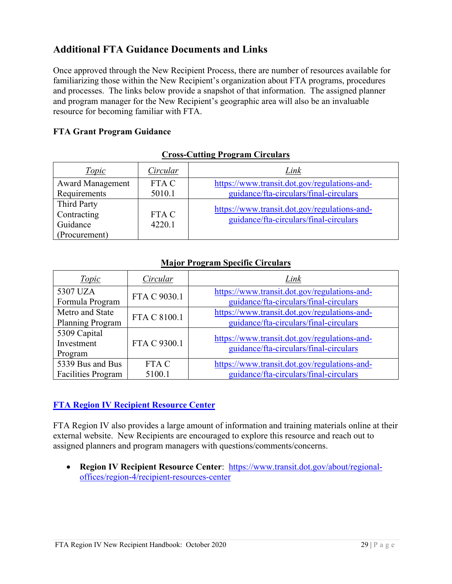# <span id="page-29-0"></span>**Additional FTA Guidance Documents and Links**

 Once approved through the New Recipient Process, there are number of resources available for resource for becoming familiar with FTA. familiarizing those within the New Recipient's organization about FTA programs, procedures and processes. The links below provide a snapshot of that information. The assigned planner and program manager for the New Recipient's geographic area will also be an invaluable

#### **FTA Grant Program Guidance**

| <i>Topic</i>            | Circular | Link                                         |
|-------------------------|----------|----------------------------------------------|
| <b>Award Management</b> | FTA C    | https://www.transit.dot.gov/regulations-and- |
| Requirements            | 5010.1   | guidance/fta-circulars/final-circulars       |
| <b>Third Party</b>      |          | https://www.transit.dot.gov/regulations-and- |
| Contracting             | FTA C    | guidance/fta-circulars/final-circulars       |
| Guidance                | 4220.1   |                                              |
| (Procurement)           |          |                                              |

#### **Cross-Cutting Program Circulars**

#### **Major Program Specific Circulars**

| <i>Topic</i>              | Circular     | Link                                         |
|---------------------------|--------------|----------------------------------------------|
| 5307 UZA                  | FTA C 9030.1 | https://www.transit.dot.gov/regulations-and- |
| Formula Program           |              | guidance/fta-circulars/final-circulars       |
| Metro and State           | FTA C 8100.1 | https://www.transit.dot.gov/regulations-and- |
| Planning Program          |              | guidance/fta-circulars/final-circulars       |
| 5309 Capital              |              | https://www.transit.dot.gov/regulations-and- |
| Investment                | FTA C 9300.1 | guidance/fta-circulars/final-circulars       |
| Program                   |              |                                              |
| 5339 Bus and Bus          | FTA C        | https://www.transit.dot.gov/regulations-and- |
| <b>Facilities Program</b> | 5100.1       | guidance/fta-circulars/final-circulars       |

#### **[FTA Region IV Recipient Resource Center](https://www.transit.dot.gov/about/regional-offices/region-4/grantee-resources-center)**

 FTA Region IV also provides a large amount of information and training materials online at their external website. New Recipients are encouraged to explore this resource and reach out to assigned planners and program managers with questions/comments/concerns.

 • **Region IV Recipient Resource Center**: [https://www.transit.dot.gov/about/regional](https://www.transit.dot.gov/about/regional-offices/region-4/grantee-resources-center)offices/region-4/recipient-resources-center offices/region-4/recipient-resources-center<br>FTA Region IV New Recipient Handbook: October 2020 29 | P a g e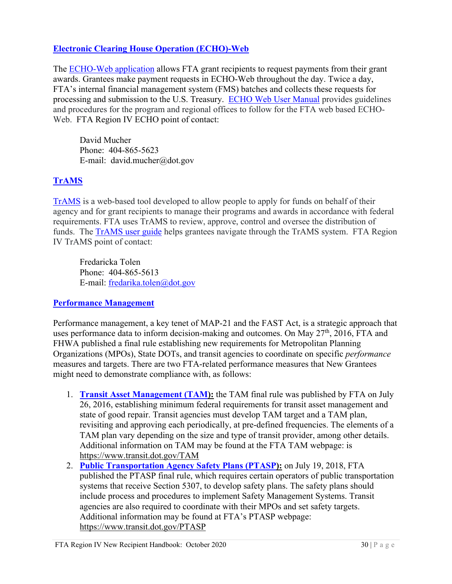#### **[Electronic Clearing House Operation \(ECHO\)-Web](https://www.transit.dot.gov/funding/grantee-resources/echo/electronic-clearing-house-operation-echo)**

The **ECHO-Web application** allows FTA grant recipients to request payments from their grant awards. Grantees make payment requests in ECHO-Web throughout the day. Twice a day, processing and submission to the U.S. Treasury. **ECHO Web User Manual** provides guidelines and procedures for the program and regional offices to follow for the FTA web based ECHO- Web. FTA Region IV ECHO point of contact: FTA's internal financial management system (FMS) batches and collects these requests for

David Mucher Phone: 404-865-5623 E-mail: [david.mucher@dot.gov](mailto:david.mucher@dot.gov)

#### **[TrAMS](https://www.transit.dot.gov/funding/grantee-resources/teamtrams/transit-award-management-system-trams)**

[TrAMS](https://www.transit.dot.gov/funding/grantee-resources/teamtrams/transit-award-management-system-trams) is a web-based tool developed to allow people to apply for funds on behalf of their agency and for grant recipients to manage their programs and awards in accordance with federal requirements. FTA uses TrAMS to review, approve, control and oversee the distribution of funds. The [TrAMS user guide](https://www.transit.dot.gov/funding/grantee-resources/teamtrams/trams-user-guide) helps grantees navigate through the TrAMS system. FTA Region IV TrAMS point of contact:

Fredaricka Tolen Phone: 404-865-5613 E-mail: [fredarika.tolen@dot.gov](mailto:fredarika.tolen@dot.gov) 

#### **[Performance Management](https://www.transit.dot.gov/performance-based-planning)**

 Organizations (MPOs), State DOTs, and transit agencies to coordinate on specific *performance*  Performance management, a key tenet of MAP-21 and the FAST Act, is a strategic approach that uses performance data to inform decision-making and outcomes. On May 27<sup>th</sup>, 2016, FTA and FHWA published a final rule establishing new requirements for Metropolitan Planning measures and targets. There are two FTA-related performance measures that New Grantees might need to demonstrate compliance with, as follows:

- 1. **[Transit Asset Management \(TAM\)](https://www.transit.dot.gov/TAM):** the TAM final rule was published by FTA on July 26, 2016, establishing minimum federal requirements for transit asset management and state of good repair. Transit agencies must develop TAM target and a TAM plan, revisiting and approving each periodically, at pre-defined frequencies. The elements of a TAM plan vary depending on the size and type of transit provider, among other details. Additional information on TAM may be found at the FTA TAM webpage: is <https://www.transit.dot.gov/TAM>
- agencies are also required to coordinate with their MPOs and set safety targets. Additional information may be found at FTA's PTASP webpage: 2. **[Public Transportation Agency Safety Plans \(PTASP\)](https://www.transit.dot.gov/PTASP):** on July 19, 2018, FTA published the PTASP final rule, which requires certain operators of public transportation systems that receive Section 5307, to develop safety plans. The safety plans should include process and procedures to implement Safety Management Systems. Transit <https://www.transit.dot.gov/PTASP>